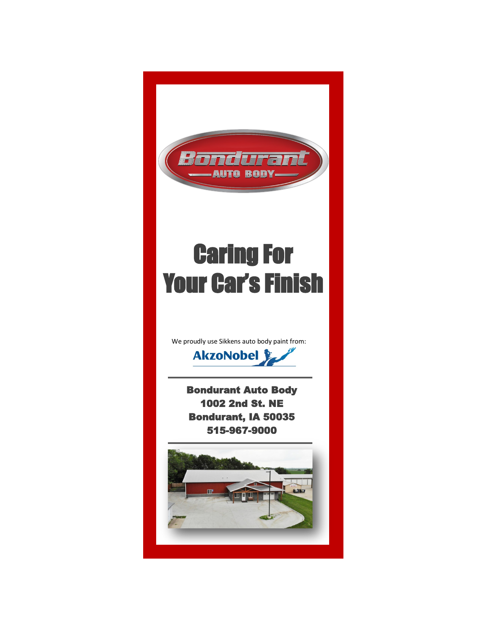

# Caring For Your Car's Finish

We proudly use Sikkens auto body paint from:



Bondurant Auto Body 1002 2nd St. NE Bondurant, IA 50035 515-967-9000